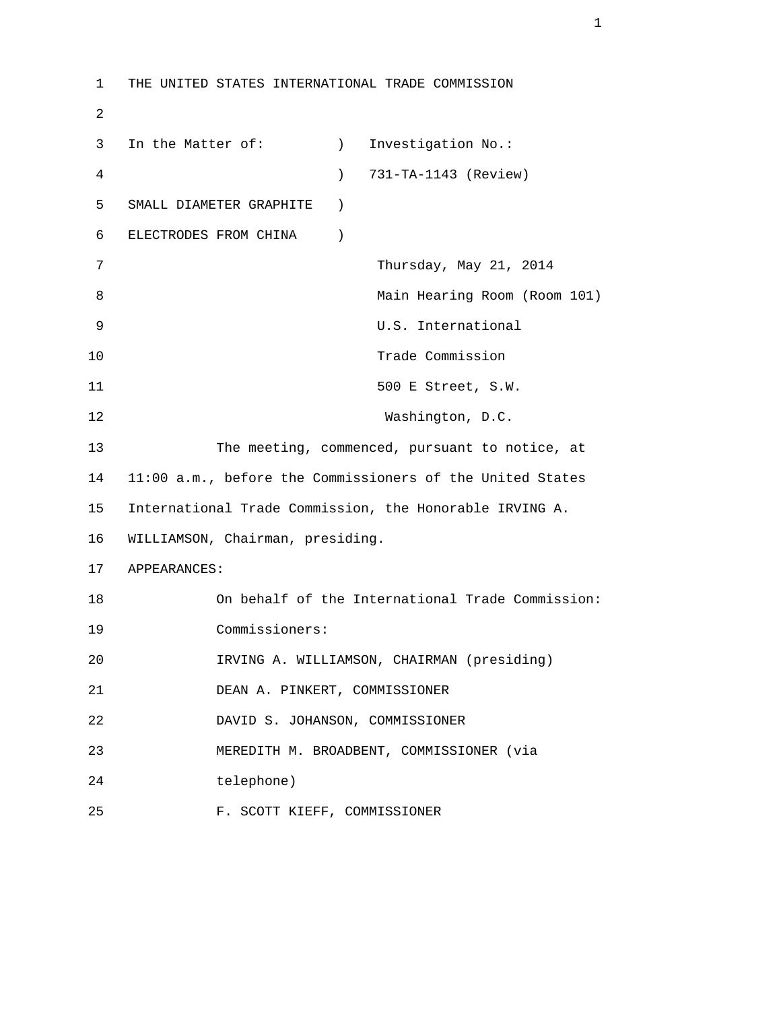```
 1 THE UNITED STATES INTERNATIONAL TRADE COMMISSION 
2 
      3 In the Matter of: (a) Investigation No.:
       4 ) 731-TA-1143 (Review) 
       5 SMALL DIAMETER GRAPHITE ) 
       6 ELECTRODES FROM CHINA ) 
       7 Thursday, May 21, 2014 
       8 Main Hearing Room (Room 101) 
       9 U.S. International 
     10 Trade Commission
     11 500 E Street, S.W.
     12 Washington, D.C.
      13 The meeting, commenced, pursuant to notice, at 
      14 11:00 a.m., before the Commissioners of the United States 
      15 International Trade Commission, the Honorable IRVING A. 
      16 WILLIAMSON, Chairman, presiding. 
      17 APPEARANCES: 
      18 On behalf of the International Trade Commission: 
      19 Commissioners: 
      20 IRVING A. WILLIAMSON, CHAIRMAN (presiding) 
      21 DEAN A. PINKERT, COMMISSIONER 
      22 DAVID S. JOHANSON, COMMISSIONER 
      23 MEREDITH M. BROADBENT, COMMISSIONER (via 
      24 telephone) 
      25 F. SCOTT KIEFF, COMMISSIONER
```
 $1$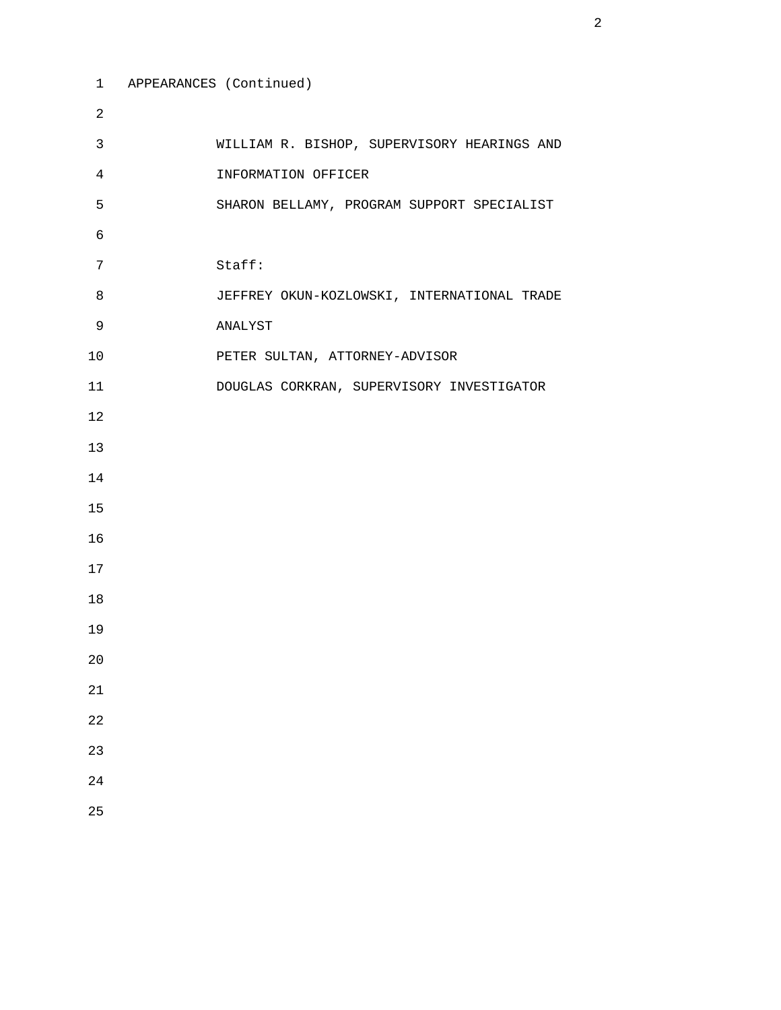```
 1 APPEARANCES (Continued) 
 2 
3 WILLIAM R. BISHOP, SUPERVISORY HEARINGS AND 
 4 INFORMATION OFFICER 
 5 SHARON BELLAMY, PROGRAM SUPPORT SPECIALIST 
6 
7 Staff: 
8 JEFFREY OKUN-KOZLOWSKI, INTERNATIONAL TRADE 
9 ANALYST 
10 PETER SULTAN, ATTORNEY-ADVISOR 
11 DOUGLAS CORKRAN, SUPERVISORY INVESTIGATOR 
12 
13 
14 
15 
16 
17 
18 
19 
20 
21 
22 
23 
24 
25
```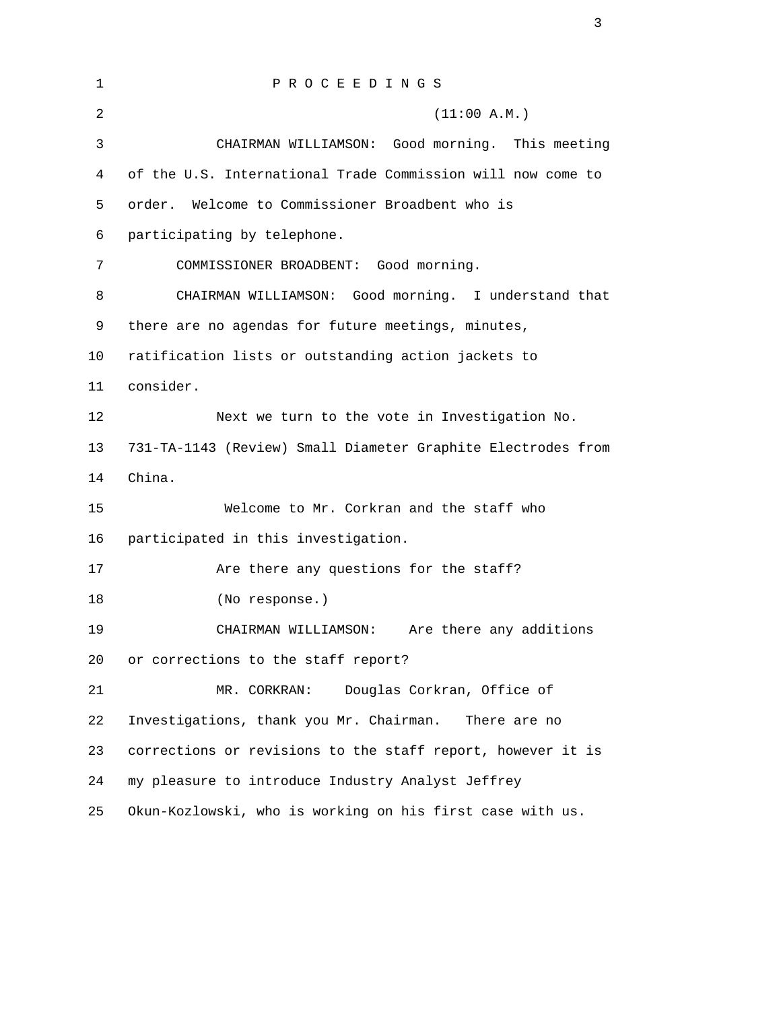| 1              | PROCEEDINGS                                                  |
|----------------|--------------------------------------------------------------|
| $\overline{a}$ | (11:00 A.M.)                                                 |
| 3              | Good morning. This meeting<br>CHAIRMAN WILLIAMSON:           |
| $\overline{4}$ | of the U.S. International Trade Commission will now come to  |
| 5              | Welcome to Commissioner Broadbent who is<br>order.           |
| 6              | participating by telephone.                                  |
| 7              | COMMISSIONER BROADBENT: Good morning.                        |
| 8              | CHAIRMAN WILLIAMSON: Good morning. I understand that         |
| 9              | there are no agendas for future meetings, minutes,           |
| 10             | ratification lists or outstanding action jackets to          |
| 11             | consider.                                                    |
| 12             | Next we turn to the vote in Investigation No.                |
| 13             | 731-TA-1143 (Review) Small Diameter Graphite Electrodes from |
| 14             | China.                                                       |
| 15             | Welcome to Mr. Corkran and the staff who                     |
| 16             | participated in this investigation.                          |
| 17             | Are there any questions for the staff?                       |
| 18             | (No response.)                                               |
| 19             | Are there any additions<br>CHAIRMAN WILLIAMSON:              |
| 20             | or corrections to the staff report?                          |
| 21             | Douglas Corkran, Office of<br>MR. CORKRAN:                   |
| 22             | Investigations, thank you Mr. Chairman.<br>There are no      |
| 23             | corrections or revisions to the staff report, however it is  |
| 24             | my pleasure to introduce Industry Analyst Jeffrey            |
| 25             | Okun-Kozlowski, who is working on his first case with us.    |

3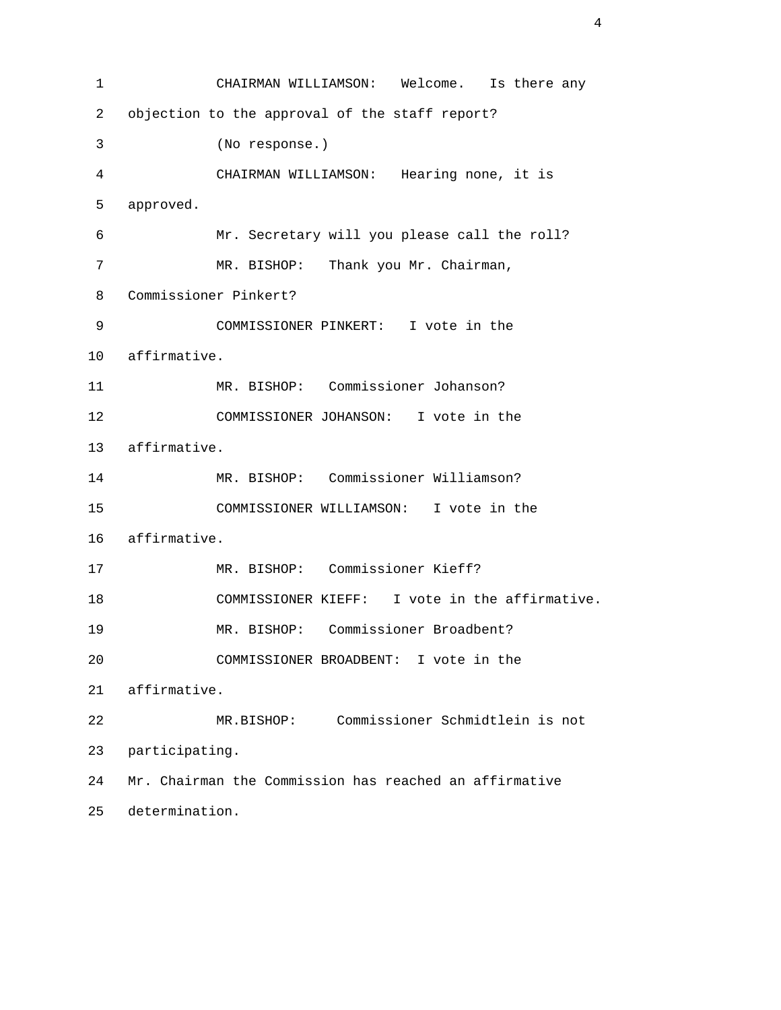1 CHAIRMAN WILLIAMSON: Welcome. Is there any 2 objection to the approval of the staff report? 3 (No response.) 4 CHAIRMAN WILLIAMSON: Hearing none, it is 5 approved. 6 Mr. Secretary will you please call the roll? 7 MR. BISHOP: Thank you Mr. Chairman, 8 Commissioner Pinkert? 9 COMMISSIONER PINKERT: I vote in the 10 affirmative. 11 MR. BISHOP: Commissioner Johanson? 12 COMMISSIONER JOHANSON: I vote in the 13 affirmative. 14 MR. BISHOP: Commissioner Williamson? 15 COMMISSIONER WILLIAMSON: I vote in the 16 affirmative. 17 MR. BISHOP: Commissioner Kieff? 18 COMMISSIONER KIEFF: I vote in the affirmative. 19 MR. BISHOP: Commissioner Broadbent? 20 COMMISSIONER BROADBENT: I vote in the 21 affirmative. 22 MR.BISHOP: Commissioner Schmidtlein is not 23 participating. 24 Mr. Chairman the Commission has reached an affirmative 25 determination.

4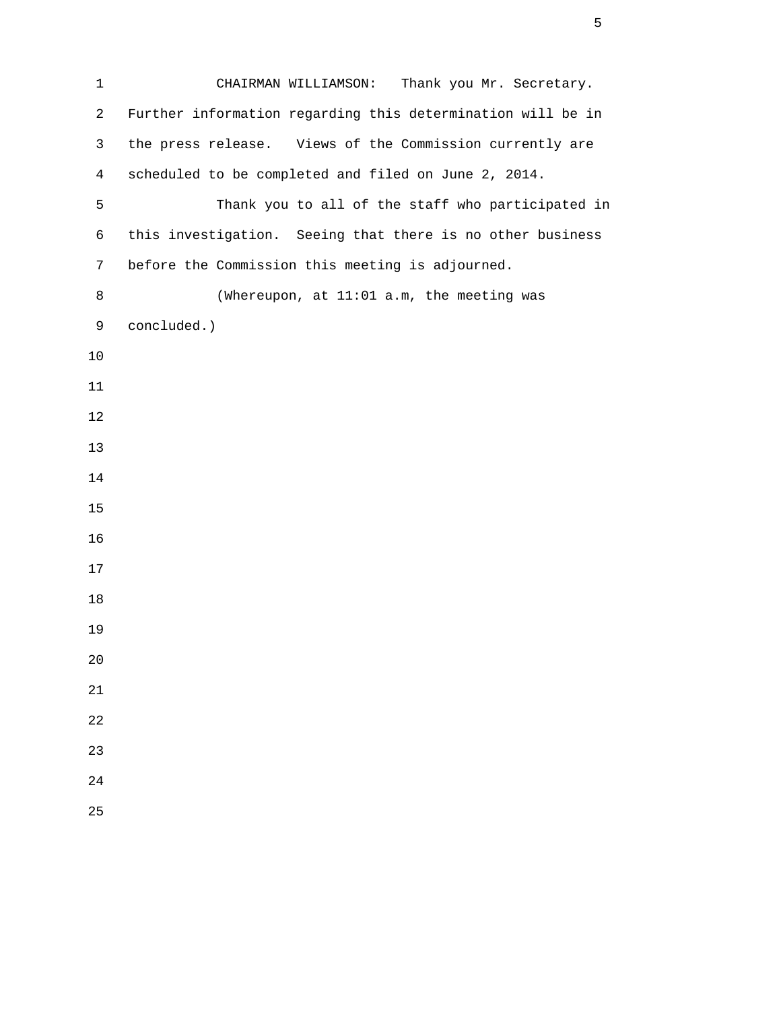1 CHAIRMAN WILLIAMSON: Thank you Mr. Secretary. 2 Further information regarding this determination will be in 3 the press release. Views of the Commission currently are 4 scheduled to be completed and filed on June 2, 2014. 5 Thank you to all of the staff who participated in 6 this investigation. Seeing that there is no other business 7 before the Commission this meeting is adjourned. 8 (Whereupon, at 11:01 a.m, the meeting was 9 concluded.) 

 $\sim$  5